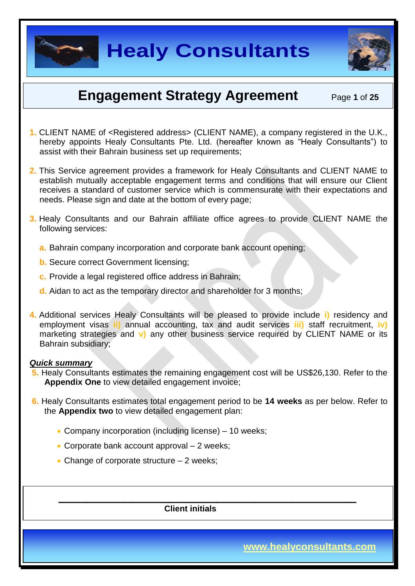

### **Engagement Strategy Agreement** Page **<sup>1</sup>** of **<sup>25</sup>**

- **1.** CLIENT NAME of <Registered address> (CLIENT NAME), a company registered in the U.K., hereby appoints Healy Consultants Pte. Ltd. (hereafter known as "Healy Consultants") to assist with their Bahrain business set up requirements;
- **2.** This Service agreement provides a framework for Healy Consultants and CLIENT NAME to establish mutually acceptable engagement terms and conditions that will ensure our Client receives a standard of customer service which is commensurate with their expectations and needs. Please sign and date at the bottom of every page;
- **3.** Healy Consultants and our Bahrain affiliate office agrees to provide CLIENT NAME the following services:
	- **a.** Bahrain company incorporation and corporate bank account opening;
	- **b.** Secure correct Government licensing;
	- **c.** Provide a legal registered office address in Bahrain;
	- **d.** Aidan to act as the temporary director and shareholder for 3 months;
- **4.** Additional services Healy Consultants will be pleased to provide include **i)** residency and employment visas **ii)** annual accounting, tax and audit services **iii)** staff recruitment, **iv)**  marketing strategies and **v)** any other business service required by CLIENT NAME or its Bahrain subsidiary;

#### *Quick summary*

- **5.** Healy Consultants estimates the remaining engagement cost will be US\$26,130. Refer to the **Appendix One** to view detailed engagement invoice;
- **6.** Healy Consultants estimates total engagement period to be **14 weeks** as per below. Refer to the **Appendix two** to view detailed engagement plan:

 $\overline{\phantom{a}}$  , and the contract of the contract of the contract of the contract of the contract of the contract of the contract of the contract of the contract of the contract of the contract of the contract of the contrac

- Company incorporation (including license) 10 weeks:
- Corporate bank account approval 2 weeks;
- Change of corporate structure  $-2$  weeks;

 **Client initials**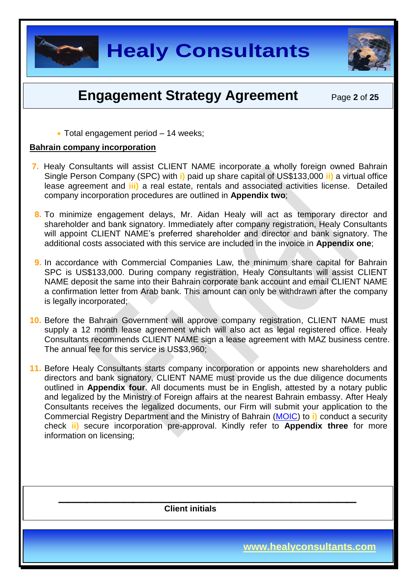

### **Engagement Strategy Agreement** Page 2 of 25

• Total engagement period – 14 weeks;

#### **Bahrain company incorporation**

- **7.** Healy Consultants will assist CLIENT NAME incorporate a wholly foreign owned Bahrain Single Person Company (SPC) with **i)** paid up share capital of US\$133,000 **ii)** a virtual office lease agreement and **iii)** a real estate, rentals and associated activities license. Detailed company incorporation procedures are outlined in **Appendix two**;
- **8.** To minimize engagement delays, Mr. Aidan Healy will act as temporary director and shareholder and bank signatory. Immediately after company registration, Healy Consultants will appoint CLIENT NAME's preferred shareholder and director and bank signatory. The additional costs associated with this service are included in the invoice in **Appendix one**;
- **9.** In accordance with Commercial Companies Law, the minimum share capital for Bahrain SPC is US\$133,000. During company registration, Healy Consultants will assist CLIENT NAME deposit the same into their Bahrain corporate bank account and email CLIENT NAME a confirmation letter from Arab bank. This amount can only be withdrawn after the company is legally incorporated;
- **10.** Before the Bahrain Government will approve company registration, CLIENT NAME must supply a 12 month lease agreement which will also act as legal registered office. Healy Consultants recommends CLIENT NAME sign a lease agreement with MAZ business centre. The annual fee for this service is US\$3,960;
- **11.** Before Healy Consultants starts company incorporation or appoints new shareholders and directors and bank signatory, CLIENT NAME must provide us the due diligence documents outlined in **Appendix four**. All documents must be in English, attested by a notary public and legalized by the Ministry of Foreign affairs at the nearest Bahrain embassy. After Healy Consultants receives the legalized documents, our Firm will submit your application to the Commercial Registry Department and the Ministry of Bahrain [\(MOIC\)](http://www.moic.gov.bh/En/Pages/Home.aspx) to **i)** conduct a security check **ii)** secure incorporation pre-approval. Kindly refer to **Appendix three** for more information on licensing;

 $\overline{\phantom{a}}$  , and the contract of the contract of the contract of the contract of the contract of the contract of the contract of the contract of the contract of the contract of the contract of the contract of the contrac

 **Client initials**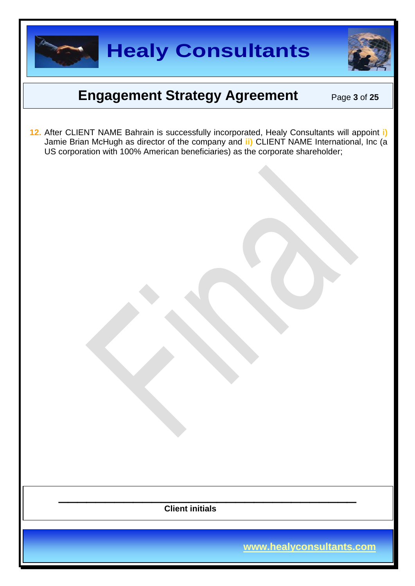

### **Engagement Strategy Agreement** Page 3 of 25

**12.** After CLIENT NAME Bahrain is successfully incorporated, Healy Consultants will appoint **i)** Jamie Brian McHugh as director of the company and **ii)** CLIENT NAME International, Inc (a US corporation with 100% American beneficiaries) as the corporate shareholder;

 $\overline{\phantom{a}}$  , and the contract of the contract of the contract of the contract of the contract of the contract of the contract of the contract of the contract of the contract of the contract of the contract of the contrac  **Client initials**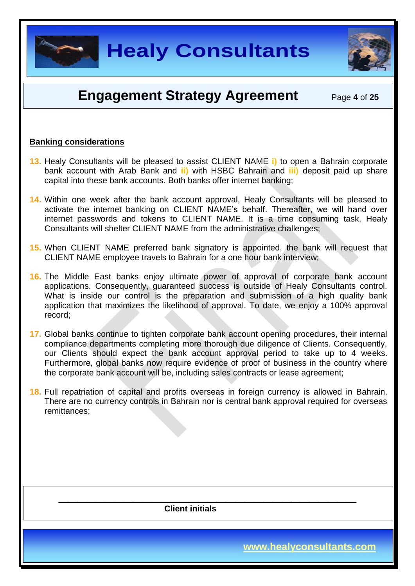

### **Engagement Strategy Agreement** Page **<sup>4</sup>** of **<sup>25</sup>**

#### **Banking considerations**

- **13.** Healy Consultants will be pleased to assist CLIENT NAME **i)** to open a Bahrain corporate bank account with Arab Bank and **ii)** with HSBC Bahrain and **iii)** deposit paid up share capital into these bank accounts. Both banks offer internet banking;
- **14.** Within one week after the bank account approval, Healy Consultants will be pleased to activate the internet banking on CLIENT NAME's behalf. Thereafter, we will hand over internet passwords and tokens to CLIENT NAME. It is a time consuming task, Healy Consultants will shelter CLIENT NAME from the administrative challenges;
- **15.** When CLIENT NAME preferred bank signatory is appointed, the bank will request that CLIENT NAME employee travels to Bahrain for a one hour bank interview;
- **16.** The Middle East banks enjoy ultimate power of approval of corporate bank account applications. Consequently, guaranteed success is outside of Healy Consultants control. What is inside our control is the preparation and submission of a high quality bank application that maximizes the likelihood of approval. To date, we enjoy a 100% approval record;
- **17.** Global banks continue to tighten corporate bank account opening procedures, their internal compliance departments completing more thorough due diligence of Clients. Consequently, our Clients should expect the bank account approval period to take up to 4 weeks. Furthermore, global banks now require evidence of proof of business in the country where the corporate bank account will be, including sales contracts or lease agreement;
- **18.** Full repatriation of capital and profits overseas in foreign currency is allowed in Bahrain. There are no currency controls in Bahrain nor is central bank approval required for overseas remittances;

 $\overline{\phantom{a}}$  , and the contract of the contract of the contract of the contract of the contract of the contract of the contract of the contract of the contract of the contract of the contract of the contract of the contrac

 **Client initials**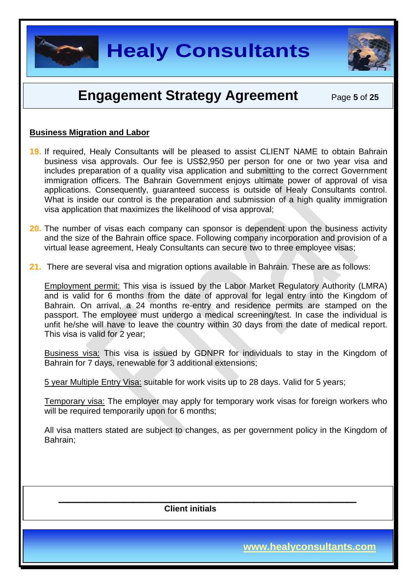

### **Engagement Strategy Agreement** Page **<sup>5</sup>** of **<sup>25</sup>**

#### **Business Migration and Labor**

- **19.** If required, Healy Consultants will be pleased to assist CLIENT NAME to obtain Bahrain business visa approvals. Our fee is US\$2,950 per person for one or two year visa and includes preparation of a quality visa application and submitting to the correct Government immigration officers. The Bahrain Government enjoys ultimate power of approval of visa applications. Consequently, guaranteed success is outside of Healy Consultants control. What is inside our control is the preparation and submission of a high quality immigration visa application that maximizes the likelihood of visa approval;
- **20.** The number of visas each company can sponsor is dependent upon the business activity and the size of the Bahrain office space. Following company incorporation and provision of a virtual lease agreement, Healy Consultants can secure two to three employee visas;
- **21.** There are several visa and migration options available in Bahrain. These are as follows:

Employment permit: This visa is issued by the Labor Market Regulatory Authority (LMRA) and is valid for 6 months from the date of approval for legal entry into the Kingdom of Bahrain. On arrival, a 24 months re-entry and residence permits are stamped on the passport. The employee must undergo a medical screening/test. In case the individual is unfit he/she will have to leave the country within 30 days from the date of medical report. This visa is valid for 2 year;

Business visa: This visa is issued by GDNPR for individuals to stay in the Kingdom of Bahrain for 7 days, renewable for 3 additional extensions;

5 year Multiple Entry Visa: suitable for work visits up to 28 days. Valid for 5 years;

Temporary visa: The employer may apply for temporary work visas for foreign workers who will be required temporarily upon for 6 months;

All visa matters stated are subject to changes, as per government policy in the Kingdom of Bahrain;

 $\overline{\phantom{a}}$  , and the contract of the contract of the contract of the contract of the contract of the contract of the contract of the contract of the contract of the contract of the contract of the contract of the contrac

 **Client initials** 

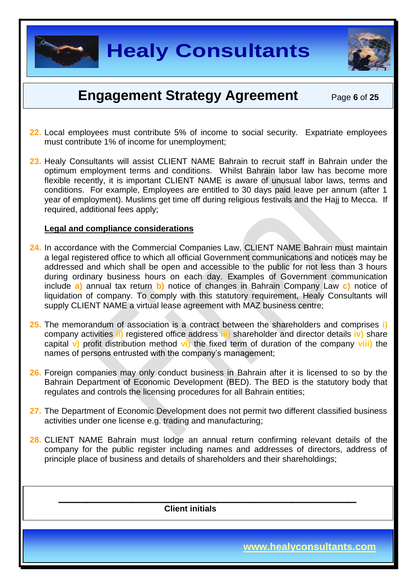

### **Engagement Strategy Agreement** Page 6 of 25

- **22.** Local employees must contribute 5% of income to social security. Expatriate employees must contribute 1% of income for unemployment;
- **23.** Healy Consultants will assist CLIENT NAME Bahrain to recruit staff in Bahrain under the optimum employment terms and conditions. Whilst Bahrain labor law has become more flexible recently, it is important CLIENT NAME is aware of unusual labor laws, terms and conditions. For example, Employees are entitled to 30 days paid leave per annum (after 1 year of employment). Muslims get time off during religious festivals and the Hajj to Mecca. If required, additional fees apply;

#### **Legal and compliance considerations**

- **24.** In accordance with the Commercial Companies Law, CLIENT NAME Bahrain must maintain a legal registered office to which all official Government communications and notices may be addressed and which shall be open and accessible to the public for not less than 3 hours during ordinary business hours on each day. Examples of Government communication include **a)** annual tax return **b)** notice of changes in Bahrain Company Law **c)** notice of liquidation of company. To comply with this statutory requirement, Healy Consultants will supply CLIENT NAME a virtual lease agreement with MAZ business centre;
- **25.** The memorandum of association is a contract between the shareholders and comprises **i)** company activities **ii)** registered office address **iii)** shareholder and director details **iv)** share capital **v)** profit distribution method **vi)** the fixed term of duration of the company **viii)** the names of persons entrusted with the company's management;
- **26.** Foreign companies may only conduct business in Bahrain after it is licensed to so by the Bahrain Department of Economic Development (BED). The BED is the statutory body that regulates and controls the licensing procedures for all Bahrain entities;
- **27.** The Department of Economic Development does not permit two different classified business activities under one license e.g. trading and manufacturing;
- **28.** CLIENT NAME Bahrain must lodge an annual return confirming relevant details of the company for the public register including names and addresses of directors, address of principle place of business and details of shareholders and their shareholdings;

 $\overline{\phantom{a}}$  , and the contract of the contract of the contract of the contract of the contract of the contract of the contract of the contract of the contract of the contract of the contract of the contract of the contrac

 **Client initials**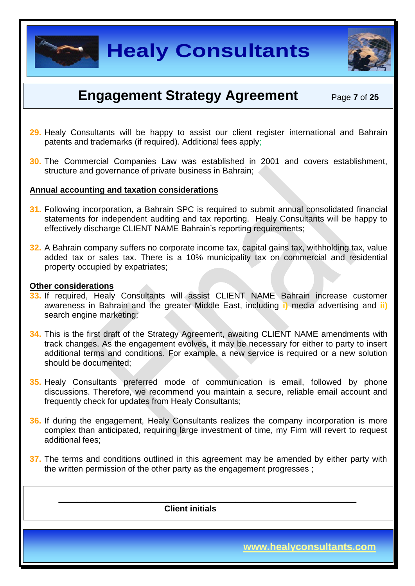

### **Engagement Strategy Agreement** Page **<sup>7</sup>** of **<sup>25</sup>**

- **29.** Healy Consultants will be happy to assist our client register international and Bahrain patents and trademarks (if required). Additional fees apply;
- **30.** The Commercial Companies Law was established in 2001 and covers establishment, structure and governance of private business in Bahrain;

#### **Annual accounting and taxation considerations**

- **31.** Following incorporation, a Bahrain SPC is required to submit annual consolidated financial statements for independent auditing and tax reporting. Healy Consultants will be happy to effectively discharge CLIENT NAME Bahrain's reporting requirements;
- **32.** A Bahrain company suffers no corporate income tax, capital gains tax, withholding tax, value added tax or sales tax. There is a 10% municipality tax on commercial and residential property occupied by expatriates;

#### **Other considerations**

- **33.** If required, Healy Consultants will assist CLIENT NAME Bahrain increase customer awareness in Bahrain and the greater Middle East, including **i)** media advertising and **ii)** search engine marketing;
- **34.** This is the first draft of the Strategy Agreement, awaiting CLIENT NAME amendments with track changes. As the engagement evolves, it may be necessary for either to party to insert additional terms and conditions. For example, a new service is required or a new solution should be documented;
- **35.** Healy Consultants preferred mode of communication is email, followed by phone discussions. Therefore, we recommend you maintain a secure, reliable email account and frequently check for updates from Healy Consultants;
- **36.** If during the engagement, Healy Consultants realizes the company incorporation is more complex than anticipated, requiring large investment of time, my Firm will revert to request additional fees;
- **37.** The terms and conditions outlined in this agreement may be amended by either party with the written permission of the other party as the engagement progresses ;

 $\overline{\phantom{a}}$  , and the contract of the contract of the contract of the contract of the contract of the contract of the contract of the contract of the contract of the contract of the contract of the contract of the contrac

 **Client initials**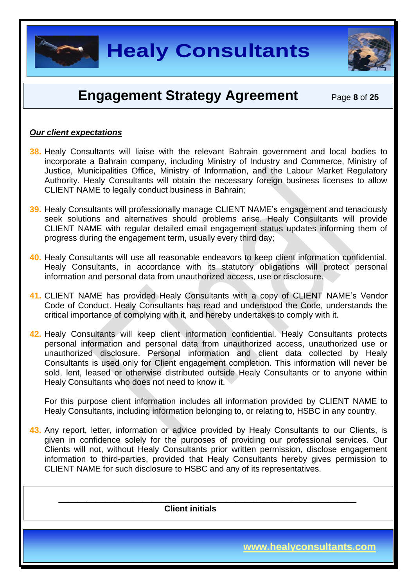

### **Engagement Strategy Agreement** Page 8 of 25

#### *Our client expectations*

- **38.** Healy Consultants will liaise with the relevant Bahrain government and local bodies to incorporate a Bahrain company, including Ministry of Industry and Commerce, Ministry of Justice, Municipalities Office, Ministry of Information, and the Labour Market Regulatory Authority. Healy Consultants will obtain the necessary foreign business licenses to allow CLIENT NAME to legally conduct business in Bahrain;
- **39.** Healy Consultants will professionally manage CLIENT NAME's engagement and tenaciously seek solutions and alternatives should problems arise. Healy Consultants will provide CLIENT NAME with regular detailed email engagement status updates informing them of progress during the engagement term, usually every third day;
- **40.** Healy Consultants will use all reasonable endeavors to keep client information confidential. Healy Consultants, in accordance with its statutory obligations will protect personal information and personal data from unauthorized access, use or disclosure.
- **41.** CLIENT NAME has provided Healy Consultants with a copy of CLIENT NAME's Vendor Code of Conduct. Healy Consultants has read and understood the Code, understands the critical importance of complying with it, and hereby undertakes to comply with it.
- **42.** Healy Consultants will keep client information confidential. Healy Consultants protects personal information and personal data from unauthorized access, unauthorized use or unauthorized disclosure. Personal information and client data collected by Healy Consultants is used only for Client engagement completion. This information will never be sold, lent, leased or otherwise distributed outside Healy Consultants or to anyone within Healy Consultants who does not need to know it.

For this purpose client information includes all information provided by CLIENT NAME to Healy Consultants, including information belonging to, or relating to, HSBC in any country.

**43.** Any report, letter, information or advice provided by Healy Consultants to our Clients, is given in confidence solely for the purposes of providing our professional services. Our Clients will not, without Healy Consultants prior written permission, disclose engagement information to third-parties, provided that Healy Consultants hereby gives permission to CLIENT NAME for such disclosure to HSBC and any of its representatives.

 $\overline{\phantom{a}}$  , and the contract of the contract of the contract of the contract of the contract of the contract of the contract of the contract of the contract of the contract of the contract of the contract of the contrac

 **Client initials** 

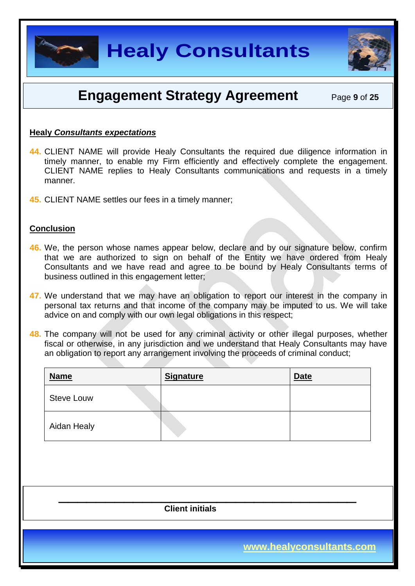

### **Engagement Strategy Agreement** Page **<sup>9</sup>** of **<sup>25</sup>**

#### **Healy** *Consultants expectations*

- **44.** CLIENT NAME will provide Healy Consultants the required due diligence information in timely manner, to enable my Firm efficiently and effectively complete the engagement. CLIENT NAME replies to Healy Consultants communications and requests in a timely manner.
- **45.** CLIENT NAME settles our fees in a timely manner;

#### **Conclusion**

- **46.** We, the person whose names appear below, declare and by our signature below, confirm that we are authorized to sign on behalf of the Entity we have ordered from Healy Consultants and we have read and agree to be bound by Healy Consultants terms of business outlined in this engagement letter;
- **47.** We understand that we may have an obligation to report our interest in the company in personal tax returns and that income of the company may be imputed to us. We will take advice on and comply with our own legal obligations in this respect;
- **48.** The company will not be used for any criminal activity or other illegal purposes, whether fiscal or otherwise, in any jurisdiction and we understand that Healy Consultants may have an obligation to report any arrangement involving the proceeds of criminal conduct;

| <b>Name</b>       | <b>Signature</b> | <b>Date</b> |
|-------------------|------------------|-------------|
| <b>Steve Louw</b> |                  |             |
| Aidan Healy       |                  |             |

 $\overline{\phantom{a}}$  , and the contract of the contract of the contract of the contract of the contract of the contract of the contract of the contract of the contract of the contract of the contract of the contract of the contrac

 **Client initials**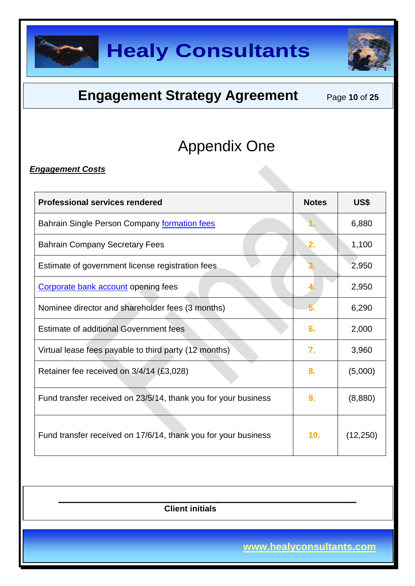



### **Engagement Strategy Agreement** Page 10 of 25

# Appendix One

#### *Engagement Costs*

| <b>Professional services rendered</b>                          | <b>Notes</b>     | US\$      |
|----------------------------------------------------------------|------------------|-----------|
| Bahrain Single Person Company formation fees                   |                  | 6,880     |
| <b>Bahrain Company Secretary Fees</b>                          | 2.               | 1,100     |
| Estimate of government license registration fees               | З.               | 2,950     |
| Corporate bank account opening fees                            | 4.               | 2,950     |
| Nominee director and shareholder fees (3 months)               |                  | 6,290     |
| <b>Estimate of additional Government fees</b>                  |                  | 2,000     |
| Virtual lease fees payable to third party (12 months)          | $\overline{7}$ . | 3,960     |
| Retainer fee received on 3/4/14 (£3,028)                       |                  | (5,000)   |
| Fund transfer received on 23/5/14, thank you for your business |                  | (8,880)   |
| Fund transfer received on 17/6/14, thank you for your business | 10.              | (12, 250) |

 $\overline{\phantom{a}}$  , and the contract of the contract of the contract of the contract of the contract of the contract of the contract of the contract of the contract of the contract of the contract of the contract of the contrac  **Client initials**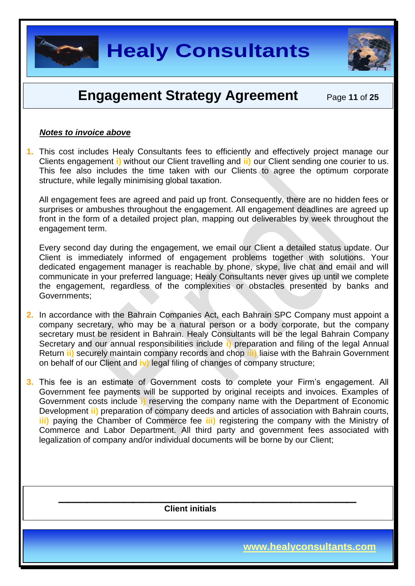

### **Engagement Strategy Agreement** Page 11 of 25

#### *Notes to invoice above*

**1.** This cost includes Healy Consultants fees to efficiently and effectively project manage our Clients engagement **i)** without our Client travelling and **ii)** our Client sending one courier to us. This fee also includes the time taken with our Clients to agree the optimum corporate structure, while legally minimising global taxation.

All engagement fees are agreed and paid up front. Consequently, there are no hidden fees or surprises or ambushes throughout the engagement. All engagement deadlines are agreed up front in the form of a detailed project plan, mapping out deliverables by week throughout the engagement term.

Every second day during the engagement, we email our Client a detailed status update. Our Client is immediately informed of engagement problems together with solutions. Your dedicated engagement manager is reachable by phone, skype, live chat and email and will communicate in your preferred language; Healy Consultants never gives up until we complete the engagement, regardless of the complexities or obstacles presented by banks and Governments;

- **2.** In accordance with the Bahrain Companies Act, each Bahrain SPC Company must appoint a company secretary, who may be a natural person or a body corporate, but the company secretary must be resident in Bahrain. Healy Consultants will be the legal Bahrain Company Secretary and our annual responsibilities include **i)** preparation and filing of the legal Annual Return **ii)** securely maintain company records and chop **iii)** liaise with the Bahrain Government on behalf of our Client and **iv)** legal filing of changes of company structure;
- **3.** This fee is an estimate of Government costs to complete your Firm's engagement. All Government fee payments will be supported by original receipts and invoices. Examples of Government costs include **i)** reserving the company name with the Department of Economic Development **ii)** preparation of company deeds and articles of association with Bahrain courts, **iii)** paying the Chamber of Commerce fee **iii)** registering the company with the Ministry of Commerce and Labor Department. All third party and government fees associated with legalization of company and/or individual documents will be borne by our Client;

 $\overline{\phantom{a}}$  , and the contract of the contract of the contract of the contract of the contract of the contract of the contract of the contract of the contract of the contract of the contract of the contract of the contrac

 **Client initials** 

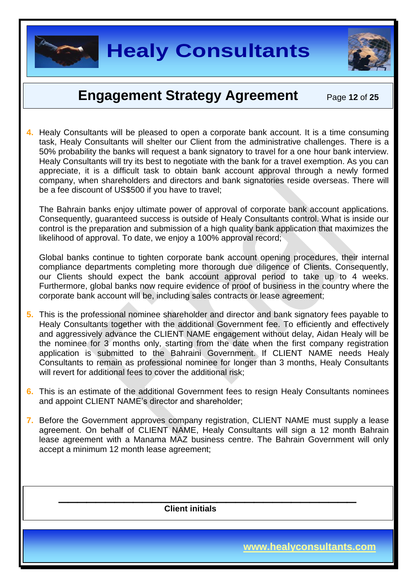

### **Engagement Strategy Agreement** Page 12 of 25

**4.** Healy Consultants will be pleased to open a corporate bank account. It is a time consuming task, Healy Consultants will shelter our Client from the administrative challenges. There is a 50% probability the banks will request a bank signatory to travel for a one hour bank interview. Healy Consultants will try its best to negotiate with the bank for a travel exemption. As you can appreciate, it is a difficult task to obtain bank account approval through a newly formed company, when shareholders and directors and bank signatories reside overseas. There will be a fee discount of US\$500 if you have to travel;

The Bahrain banks enjoy ultimate power of approval of corporate bank account applications. Consequently, guaranteed success is outside of Healy Consultants control. What is inside our control is the preparation and submission of a high quality bank application that maximizes the likelihood of approval. To date, we enjoy a 100% approval record;

Global banks continue to tighten corporate bank account opening procedures, their internal compliance departments completing more thorough due diligence of Clients. Consequently, our Clients should expect the bank account approval period to take up to 4 weeks. Furthermore, global banks now require evidence of proof of business in the country where the corporate bank account will be, including sales contracts or lease agreement;

- **5.** This is the professional nominee shareholder and director and bank signatory fees payable to Healy Consultants together with the additional Government fee. To efficiently and effectively and aggressively advance the CLIENT NAME engagement without delay, Aidan Healy will be the nominee for 3 months only, starting from the date when the first company registration application is submitted to the Bahraini Government. If CLIENT NAME needs Healy Consultants to remain as professional nominee for longer than 3 months, Healy Consultants will revert for additional fees to cover the additional risk:
- **6.** This is an estimate of the additional Government fees to resign Healy Consultants nominees and appoint CLIENT NAME's director and shareholder;
- **7.** Before the Government approves company registration, CLIENT NAME must supply a lease agreement. On behalf of CLIENT NAME, Healy Consultants will sign a 12 month Bahrain lease agreement with a Manama MAZ business centre. The Bahrain Government will only accept a minimum 12 month lease agreement;

 $\overline{\phantom{a}}$  , and the contract of the contract of the contract of the contract of the contract of the contract of the contract of the contract of the contract of the contract of the contract of the contract of the contrac

 **Client initials**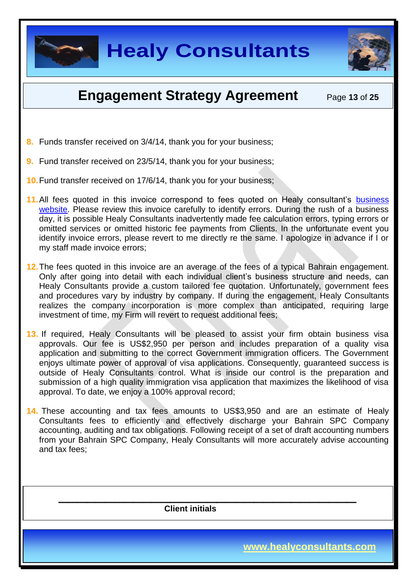



### **Engagement Strategy Agreement** Page 13 of 25

- **8.** Funds transfer received on 3/4/14, thank you for your business;
- **9.** Fund transfer received on 23/5/14, thank you for your business;
- **10.**Fund transfer received on 17/6/14, thank you for your business;
- 11. All fees quoted in this invoice correspond to fees quoted on Healy consultant's business [website.](http://www.healyconsultants.com/middle-east-incorporation/bahrain-company-registration/) Please review this invoice carefully to identify errors. During the rush of a business day, it is possible Healy Consultants inadvertently made fee calculation errors, typing errors or omitted services or omitted historic fee payments from Clients. In the unfortunate event you identify invoice errors, please revert to me directly re the same. I apologize in advance if I or my staff made invoice errors;
- **12.**The fees quoted in this invoice are an average of the fees of a typical Bahrain engagement. Only after going into detail with each individual client's business structure and needs, can Healy Consultants provide a custom tailored fee quotation. Unfortunately, government fees and procedures vary by industry by company. If during the engagement, Healy Consultants realizes the company incorporation is more complex than anticipated, requiring large investment of time, my Firm will revert to request additional fees;
- **13.** If required, Healy Consultants will be pleased to assist your firm obtain business visa approvals. Our fee is US\$2,950 per person and includes preparation of a quality visa application and submitting to the correct Government immigration officers. The Government enjoys ultimate power of approval of visa applications. Consequently, guaranteed success is outside of Healy Consultants control. What is inside our control is the preparation and submission of a high quality immigration visa application that maximizes the likelihood of visa approval. To date, we enjoy a 100% approval record;
- **14.** These accounting and tax fees amounts to US\$3,950 and are an estimate of Healy Consultants fees to efficiently and effectively discharge your Bahrain SPC Company accounting, auditing and tax obligations. Following receipt of a set of draft accounting numbers from your Bahrain SPC Company, Healy Consultants will more accurately advise accounting and tax fees;

 $\overline{\phantom{a}}$  , and the contract of the contract of the contract of the contract of the contract of the contract of the contract of the contract of the contract of the contract of the contract of the contract of the contrac

 **Client initials**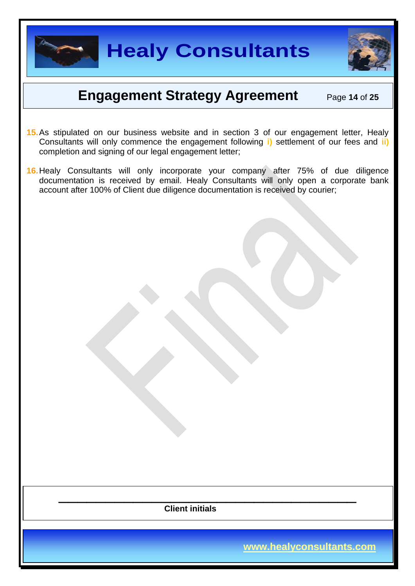

## **Engagement Strategy Agreement** Page 14 of 25

- **15.**As stipulated on our business website and in section 3 of our engagement letter, Healy Consultants will only commence the engagement following **i)** settlement of our fees and **ii)** completion and signing of our legal engagement letter;
- **16.**Healy Consultants will only incorporate your company after 75% of due diligence documentation is received by email. Healy Consultants will only open a corporate bank account after 100% of Client due diligence documentation is received by courier;

 $\overline{\phantom{a}}$  , and the contract of the contract of the contract of the contract of the contract of the contract of the contract of the contract of the contract of the contract of the contract of the contract of the contrac  **Client initials**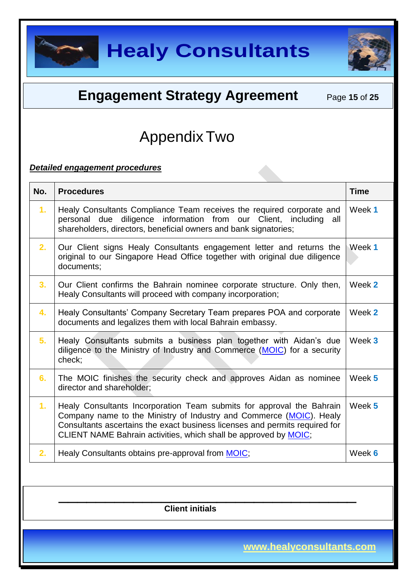



### **Engagement Strategy Agreement** Page 15 of 25

### AppendixTwo

#### *Detailed engagement procedures*

| No. | <b>Procedures</b>                                                                                                                                                                                                                                                                               | <b>Time</b> |
|-----|-------------------------------------------------------------------------------------------------------------------------------------------------------------------------------------------------------------------------------------------------------------------------------------------------|-------------|
| 1.  | Healy Consultants Compliance Team receives the required corporate and<br>personal due diligence information from our Client, including all<br>shareholders, directors, beneficial owners and bank signatories;                                                                                  | Week 1      |
| 2.  | Our Client signs Healy Consultants engagement letter and returns the<br>original to our Singapore Head Office together with original due diligence<br>documents;                                                                                                                                | Week 1      |
| 3.  | Our Client confirms the Bahrain nominee corporate structure. Only then,<br>Healy Consultants will proceed with company incorporation;                                                                                                                                                           | Week 2      |
| 4.  | Healy Consultants' Company Secretary Team prepares POA and corporate<br>documents and legalizes them with local Bahrain embassy.                                                                                                                                                                | Week 2      |
| 5.  | Healy Consultants submits a business plan together with Aidan's due<br>diligence to the Ministry of Industry and Commerce (MOIC) for a security<br>check;                                                                                                                                       | Week 3      |
| 6.  | The MOIC finishes the security check and approves Aidan as nominee<br>director and shareholder:                                                                                                                                                                                                 | Week 5      |
| 1.  | Healy Consultants Incorporation Team submits for approval the Bahrain<br>Company name to the Ministry of Industry and Commerce (MOIC). Healy<br>Consultants ascertains the exact business licenses and permits required for<br>CLIENT NAME Bahrain activities, which shall be approved by MOIC; | Week 5      |
| 2.  | Healy Consultants obtains pre-approval from <b>MOIC</b> ;                                                                                                                                                                                                                                       | Week 6      |
|     |                                                                                                                                                                                                                                                                                                 |             |

 $\overline{\phantom{a}}$  , and the contract of the contract of the contract of the contract of the contract of the contract of the contract of the contract of the contract of the contract of the contract of the contract of the contrac  **Client initials**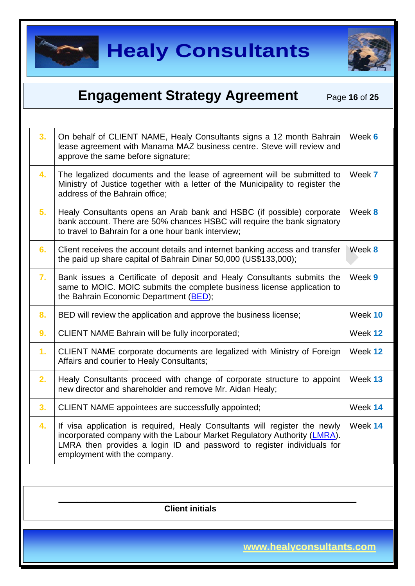



#### **Engagement Strategy Agreement** Page 16 of 25  $\overline{\phantom{a}}$  , and the contract of the contract of the contract of the contract of the contract of the contract of the contract of the contract of the contract of the contract of the contract of the contract of the contrac  **Client initials 3.** On behalf of CLIENT NAME, Healy Consultants signs a 12 month Bahrain lease agreement with Manama MAZ business centre. Steve will review and approve the same before signature; Week **6 4.** The legalized documents and the lease of agreement will be submitted to Ministry of Justice together with a letter of the Municipality to register the address of the Bahrain office; Week **7 5.** Healy Consultants opens an Arab bank and HSBC (if possible) corporate bank account. There are 50% chances HSBC will require the bank signatory to travel to Bahrain for a one hour bank interview; Week **8 6.** Client receives the account details and internet banking access and transfer the paid up share capital of Bahrain Dinar 50,000 (US\$133,000); Week **8 7.** Bank issues a Certificate of deposit and Healy Consultants submits the same to MOIC. MOIC submits the complete business license application to the Bahrain Economic Department [\(BED\)](http://www.bahrainedb.com/en/Pages/default.aspx); Week **9 8.** BED will review the application and approve the business license; Week 10 **9.** CLIENT NAME Bahrain will be fully incorporated; The same of the US week 12 **1.** CLIENT NAME corporate documents are legalized with Ministry of Foreign Affairs and courier to Healy Consultants; Week **12 2.** Healy Consultants proceed with change of corporate structure to appoint new director and shareholder and remove Mr. Aidan Healy; Week **13 3.** CLIENT NAME appointees are successfully appointed: Week 14 **4.** If visa application is required, Healy Consultants will register the newly incorporated company with the Labour Market Regulatory Authority [\(LMRA\)](http://portal.lmra.bh/english/express_services#.U0u9ybnNu70). LMRA then provides a login ID and password to register individuals for employment with the company. Week **14**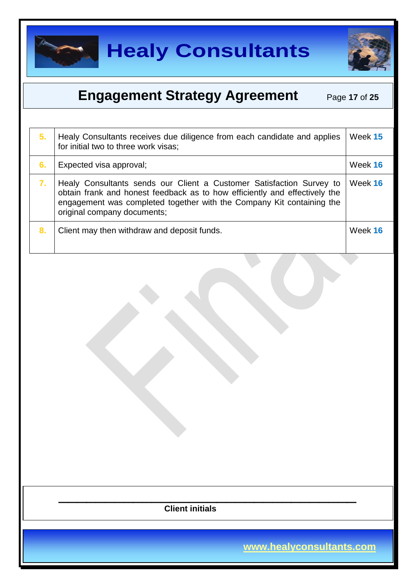



### **Engagement Strategy Agreement** Page 17 of 25

| 5. | Healy Consultants receives due diligence from each candidate and applies<br>for initial two to three work visas;                                                                                                                                           | Week 15 |
|----|------------------------------------------------------------------------------------------------------------------------------------------------------------------------------------------------------------------------------------------------------------|---------|
| 6. | Expected visa approval;                                                                                                                                                                                                                                    | Week 16 |
| 7. | Healy Consultants sends our Client a Customer Satisfaction Survey to<br>obtain frank and honest feedback as to how efficiently and effectively the<br>engagement was completed together with the Company Kit containing the<br>original company documents; | Week 16 |
| 8. | Client may then withdraw and deposit funds.                                                                                                                                                                                                                | Week 16 |
|    |                                                                                                                                                                                                                                                            |         |
|    | <b>Client initials</b>                                                                                                                                                                                                                                     |         |
|    |                                                                                                                                                                                                                                                            |         |
|    | www.healyconsultants.com                                                                                                                                                                                                                                   |         |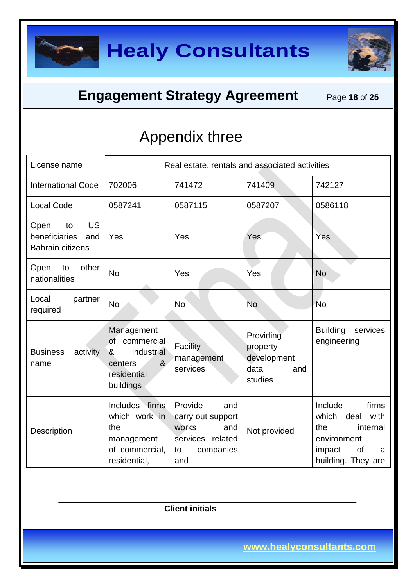

### **Engagement Strategy Agreement** Page 18 of 25

## Appendix three

| License name                                                               | Real estate, rentals and associated activities                                                                    |                                                                                                   |                                                                |                                                                                                                        |
|----------------------------------------------------------------------------|-------------------------------------------------------------------------------------------------------------------|---------------------------------------------------------------------------------------------------|----------------------------------------------------------------|------------------------------------------------------------------------------------------------------------------------|
| <b>International Code</b>                                                  | 702006                                                                                                            | 741472                                                                                            | 741409                                                         | 742127                                                                                                                 |
| <b>Local Code</b>                                                          | 0587241                                                                                                           | 0587115                                                                                           | 0587207                                                        | 0586118                                                                                                                |
| <b>US</b><br>Open<br>to<br>beneficiaries<br>and<br><b>Bahrain citizens</b> | Yes                                                                                                               | Yes                                                                                               | Yes                                                            | Yes                                                                                                                    |
| other<br>Open<br>to<br>nationalities                                       | <b>No</b>                                                                                                         | Yes                                                                                               | Yes                                                            | <b>No</b>                                                                                                              |
| Local<br>partner<br>required                                               | <b>No</b>                                                                                                         | <b>No</b>                                                                                         | <b>No</b>                                                      | <b>No</b>                                                                                                              |
| <b>Business</b><br>activity<br>name                                        | Management<br><b>of</b><br>commercial<br>industrial<br>&<br>8 <sub>k</sub><br>centers<br>residential<br>buildings | Facility<br>management<br>services                                                                | Providing<br>property<br>development<br>data<br>and<br>studies | <b>Building</b><br>services<br>engineering                                                                             |
| Description                                                                | Includes firms<br>which work in<br>the<br>management<br>of commercial,<br>residential,                            | Provide<br>and<br>carry out support<br>works<br>and<br>services related<br>companies<br>to<br>and | Not provided                                                   | Include<br>firms<br>which<br>deal<br>with<br>the<br>internal<br>environment<br>of<br>impact<br>a<br>building. They are |

 **Client initials** 

 $\overline{\phantom{a}}$  , and the contract of the contract of the contract of the contract of the contract of the contract of the contract of the contract of the contract of the contract of the contract of the contract of the contrac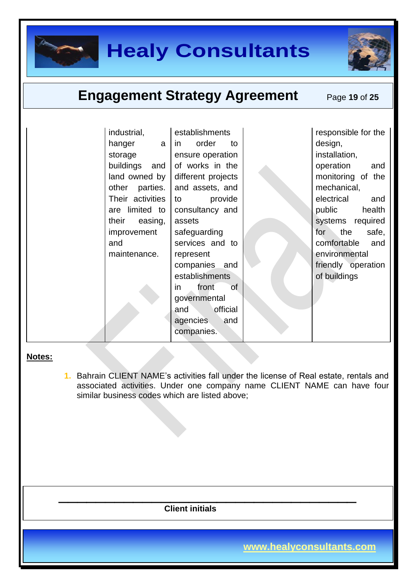

### **Engagement Strategy Agreement** Page 19 of 25

| industrial,      | establishments                  | responsible for the |
|------------------|---------------------------------|---------------------|
| hanger<br>a      | order<br>to<br>$\mathsf{in}$    | design,             |
| storage          | ensure operation                | installation,       |
| buildings and    | of works in the                 | operation<br>and    |
| land owned by    | different projects              | monitoring of the   |
| other parties.   | and assets, and                 | mechanical,         |
| Their activities | provide<br>to                   | electrical<br>and   |
| are limited to   | consultancy and                 | health<br>public    |
| their<br>easing, | assets                          | systems required    |
| improvement      | safeguarding                    | for<br>the<br>safe, |
| and              | services and to                 | comfortable<br>and  |
| maintenance.     | represent                       | environmental       |
|                  | companies and                   | friendly operation  |
|                  | establishments                  | of buildings        |
|                  | $\circ$ f<br>front<br><i>in</i> |                     |
|                  | governmental                    |                     |
|                  | official<br>and                 |                     |
|                  | agencies<br>and                 |                     |
|                  | companies.                      |                     |
|                  |                                 |                     |

#### **Notes:**

**1.** Bahrain CLIENT NAME's activities fall under the license of Real estate, rentals and associated activities. Under one company name CLIENT NAME can have four similar business codes which are listed above;

 **Client initials** 

 $\overline{\phantom{a}}$  , and the contract of the contract of the contract of the contract of the contract of the contract of the contract of the contract of the contract of the contract of the contract of the contract of the contrac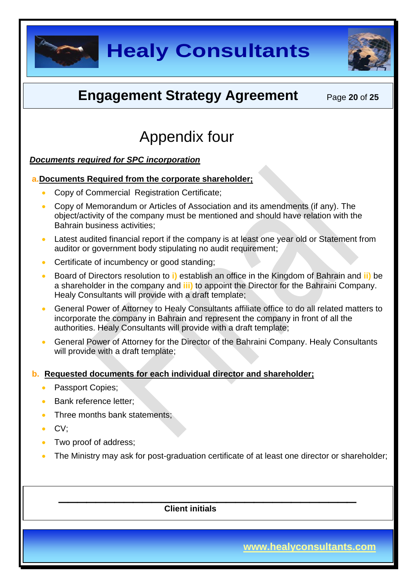



### **Engagement Strategy Agreement** Page 20 of 25

## Appendix four

#### *Documents required for SPC incorporation*

#### **a.Documents Required from the corporate shareholder;**

- Copy of Commercial Registration Certificate;
- Copy of Memorandum or Articles of Association and its amendments (if any). The object/activity of the company must be mentioned and should have relation with the Bahrain business activities;
- Latest audited financial report if the company is at least one year old or Statement from auditor or government body stipulating no audit requirement;
- Certificate of incumbency or good standing;
- Board of Directors resolution to **i)** establish an office in the Kingdom of Bahrain and **ii)** be a shareholder in the company and **iii)** to appoint the Director for the Bahraini Company. Healy Consultants will provide with a draft template;
- General Power of Attorney to Healy Consultants affiliate office to do all related matters to incorporate the company in Bahrain and represent the company in front of all the authorities. Healy Consultants will provide with a draft template;
- General Power of Attorney for the Director of the Bahraini Company. Healy Consultants will provide with a draft template;

#### **b. Requested documents for each individual director and shareholder;**

- Passport Copies;
- Bank reference letter;
- Three months bank statements;
- CV;
- Two proof of address;
- The Ministry may ask for post-graduation certificate of at least one director or shareholder;

 $\overline{\phantom{a}}$  , and the contract of the contract of the contract of the contract of the contract of the contract of the contract of the contract of the contract of the contract of the contract of the contract of the contrac

 **Client initials**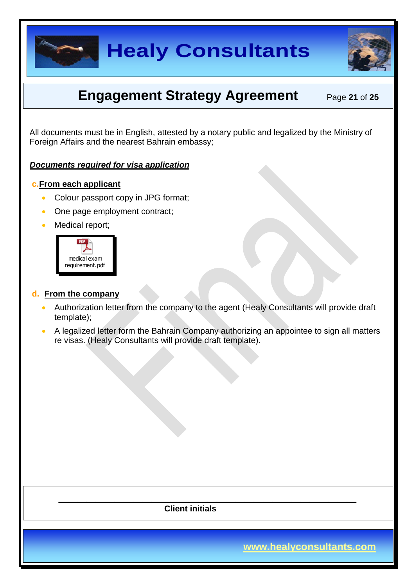



### **Engagement Strategy Agreement** Page 21 of 25

All documents must be in English, attested by a notary public and legalized by the Ministry of Foreign Affairs and the nearest Bahrain embassy;

#### *Documents required for visa application*

#### **c.From each applicant**

- Colour passport copy in JPG format;
- One page employment contract;
- Medical report;



#### **d. From the company**

- Authorization letter from the company to the agent (Healy Consultants will provide draft template);
- A legalized letter form the Bahrain Company authorizing an appointee to sign all matters re visas. (Healy Consultants will provide draft template).

 **Client initials** 

 $\overline{\phantom{a}}$  , and the contract of the contract of the contract of the contract of the contract of the contract of the contract of the contract of the contract of the contract of the contract of the contract of the contrac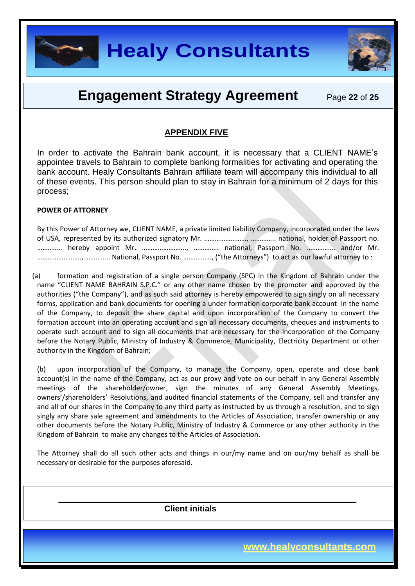

### **Engagement Strategy Agreement** Page 22 of 25

#### **APPENDIX FIVE**

In order to activate the Bahrain bank account, it is necessary that a CLIENT NAME's appointee travels to Bahrain to complete banking formalities for activating and operating the bank account. Healy Consultants Bahrain affiliate team will accompany this individual to all of these events. This person should plan to stay in Bahrain for a minimum of 2 days for this process;

#### **POWER OF ATTORNEY**

| By this Power of Attorney we, CLIENT NAME, a private limited liability Company, incorporated under the laws |  |  |  |
|-------------------------------------------------------------------------------------------------------------|--|--|--|
|                                                                                                             |  |  |  |
|                                                                                                             |  |  |  |
|                                                                                                             |  |  |  |

(a) formation and registration of a single person Company (SPC) in the Kingdom of Bahrain under the name "CLIENT NAME BAHRAIN S.P.C." or any other name chosen by the promoter and approved by the authorities ("the Company"), and as such said attorney is hereby empowered to sign singly on all necessary forms, application and bank documents for opening a under formation corporate bank account in the name of the Company, to deposit the share capital and upon incorporation of the Company to convert the formation account into an operating account and sign all necessary documents, cheques and instruments to operate such account and to sign all documents that are necessary for the incorporation of the Company before the Notary Public, Ministry of Industry & Commerce, Municipality, Electricity Department or other authority in the Kingdom of Bahrain;

(b) upon incorporation of the Company, to manage the Company, open, operate and close bank account(s) in the name of the Company, act as our proxy and vote on our behalf in any General Assembly meetings of the shareholder/owner, sign the minutes of any General Assembly Meetings, owners'/shareholders' Resolutions, and audited financial statements of the Company, sell and transfer any and all of our shares in the Company to any third party as instructed by us through a resolution, and to sign singly any share sale agreement and amendments to the Articles of Association, transfer ownership or any other documents before the Notary Public, Ministry of Industry & Commerce or any other authority in the Kingdom of Bahrain to make any changes to the Articles of Association.

The Attorney shall do all such other acts and things in our/my name and on our/my behalf as shall be necessary or desirable for the purposes aforesaid.

 $\overline{\phantom{a}}$  , and the contract of the contract of the contract of the contract of the contract of the contract of the contract of the contract of the contract of the contract of the contract of the contract of the contrac

 **Client initials**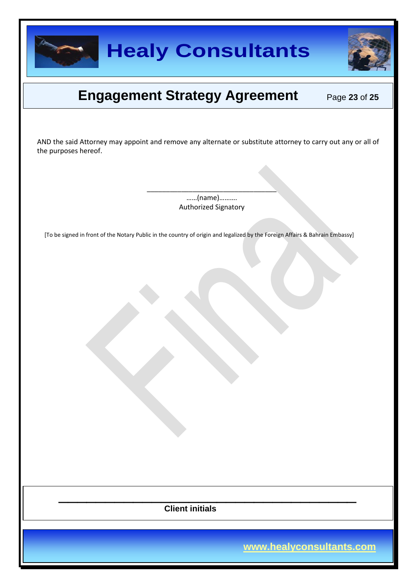

### **Engagement Strategy Agreement** Page 23 of 25

AND the said Attorney may appoint and remove any alternate or substitute attorney to carry out any or all of the purposes hereof.

> ……(name)………. Authorized Signatory

\_\_\_\_\_\_\_\_\_\_\_\_\_\_\_\_\_\_\_\_\_\_\_\_\_\_\_\_\_\_\_\_\_\_

[To be signed in front of the Notary Public in the country of origin and legalized by the Foreign Affairs & Bahrain Embassy]

 $\overline{\phantom{a}}$  , and the contract of the contract of the contract of the contract of the contract of the contract of the contract of the contract of the contract of the contract of the contract of the contract of the contrac  **Client initials**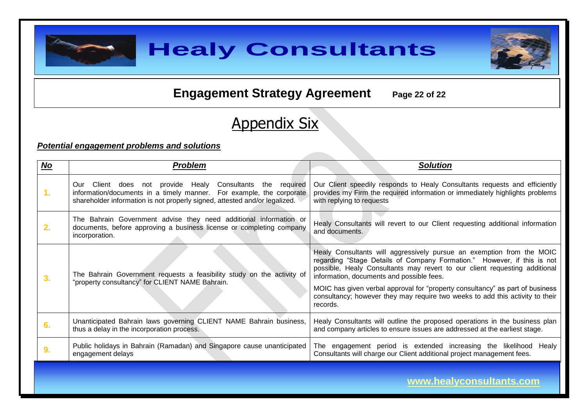

### **Engagement Strategy Agreement** Page 22 of 22

# Appendix Six

#### *Potential engagement problems and solutions*

| $NO$          | <b>Problem</b>                                                                                                                                                                                                         | <b>Solution</b>                                                                                                                                                                                                                                                                                                                                                                                                                                           |
|---------------|------------------------------------------------------------------------------------------------------------------------------------------------------------------------------------------------------------------------|-----------------------------------------------------------------------------------------------------------------------------------------------------------------------------------------------------------------------------------------------------------------------------------------------------------------------------------------------------------------------------------------------------------------------------------------------------------|
| $\mathbf 1$ . | Client does not provide Healy<br>Consultants the required<br>Our<br>information/documents in a timely manner. For example, the corporate<br>shareholder information is not properly signed, attested and/or legalized. | Our Client speedily responds to Healy Consultants requests and efficiently<br>provides my Firm the required information or immediately highlights problems<br>with replying to requests                                                                                                                                                                                                                                                                   |
| 2.            | The Bahrain Government advise they need additional information or<br>documents, before approving a business license or completing company<br>incorporation.                                                            | Healy Consultants will revert to our Client requesting additional information<br>and documents.                                                                                                                                                                                                                                                                                                                                                           |
| 3.            | The Bahrain Government requests a feasibility study on the activity of<br>"property consultancy" for CLIENT NAME Bahrain.                                                                                              | Healy Consultants will aggressively pursue an exemption from the MOIC<br>regarding "Stage Details of Company Formation." However, if this is not<br>possible, Healy Consultants may revert to our client requesting additional<br>information, documents and possible fees.<br>MOIC has given verbal approval for "property consultancy" as part of business<br>consultancy; however they may require two weeks to add this activity to their<br>records. |
| 6.            | Unanticipated Bahrain laws governing CLIENT NAME Bahrain business,<br>thus a delay in the incorporation process.                                                                                                       | Healy Consultants will outline the proposed operations in the business plan<br>and company articles to ensure issues are addressed at the earliest stage.                                                                                                                                                                                                                                                                                                 |
| 9.            | Public holidays in Bahrain (Ramadan) and Singapore cause unanticipated<br>engagement delays                                                                                                                            | The engagement period is extended increasing the likelihood Healy<br>Consultants will charge our Client additional project management fees.                                                                                                                                                                                                                                                                                                               |
|               |                                                                                                                                                                                                                        | and a set of the set of the set of the set of the set of the set of the set of the set of the set of the set o                                                                                                                                                                                                                                                                                                                                            |